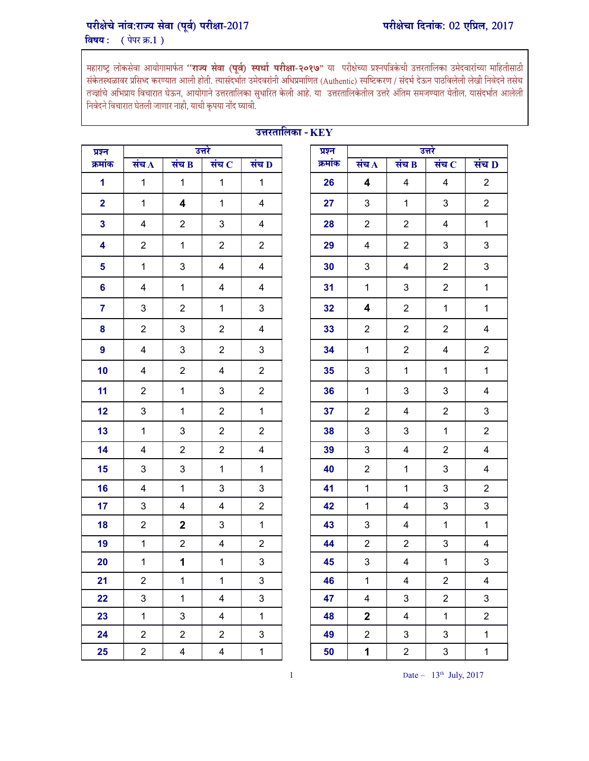## परीक्षेचे नांव:राज्य सेवा (पूर्व) परीक्षा-2017 विषय: (पेपर क्र.1)

महाराष्ट्र लोकसेवा आयोगामार्फत **''राज्य सेवा (पूर्व) स्पर्धा परीक्षा-२०१७**" या परीक्षेच्या प्रश्नपत्रिकेची उत्तरतालिका उमेदवारांच्या माहितीसाठी<br>संकेतस्थळावर प्रसिध्द करण्यात आली होती. त्यासंदर्भात उमेदवरांनी अधिप्रमाणित तज्ज्ञांचे अभिप्राय विचारात घेऊन, आयोगाने उत्तरतालिका सुधारित केली आहे. या<sup>ं</sup> उत्तरतालिकेतील उत्तरे अंतिम समजण्यात येतील. यासंदर्भात आलेली निवेदने विचारात घेतली जाणार नाही, याची कृपया नोंद घ्यावी.

| प्रश्न                  |                |                           | उत्तरे                  |                           | प्रश्न  |                         |                         | उत्तरे                  |                         |
|-------------------------|----------------|---------------------------|-------------------------|---------------------------|---------|-------------------------|-------------------------|-------------------------|-------------------------|
| क्रमांक                 | संच $\bf{A}$   | संच $\bf{B}$              | संच $C$                 | संच D                     | क्रमांक | संच $\overline{A}$      | संच $B$                 | संच $C$                 | संच L                   |
| $\mathbf{1}$            | $\mathbf{1}$   | $\mathbf{1}$              | $\mathbf{1}$            | $\mathbf{1}$              | 26      | 4                       | 4                       | 4                       | $\overline{2}$          |
| $\overline{\mathbf{2}}$ | $\mathbf{1}$   | $\overline{\mathbf{4}}$   | $\mathbf{1}$            | $\overline{4}$            | 27      | $\mathfrak{S}$          | $\mathbf{1}$            | $\mathbf{3}$            | $\overline{2}$          |
| $\mathbf{3}$            | 4              | $\overline{2}$            | 3                       | $\overline{\mathbf{4}}$   | 28      | $\overline{2}$          | $\overline{2}$          | 4                       | $\mathbf{1}$            |
| 4                       | $\overline{c}$ | $\mathbf{1}$              | $\overline{c}$          | $\overline{2}$            | 29      | 4                       | $\overline{c}$          | 3                       | 3                       |
| $5\phantom{.0}$         | $\mathbf 1$    | $\ensuremath{\mathsf{3}}$ | 4                       | $\overline{\mathbf{4}}$   | 30      | 3                       | 4                       | $\overline{2}$          | $\mathfrak{S}$          |
| $6\phantom{a}$          | 4              | $\mathbf 1$               | 4                       | $\overline{\mathbf{4}}$   | 31      | $\mathbf 1$             | 3                       | $\overline{c}$          | $\mathbf{1}$            |
| $\overline{7}$          | $\mathfrak{B}$ | $\overline{2}$            | $\mathbf{1}$            | $\mathfrak{S}$            | 32      | 4                       | $\overline{2}$          | $\mathbf{1}$            | $\mathbf{1}$            |
| 8                       | $\overline{2}$ | $\mathbf{3}$              | $\overline{2}$          | $\overline{\mathbf{4}}$   | 33      | $\overline{2}$          | $\overline{2}$          | $\overline{2}$          | $\overline{\mathbf{4}}$ |
| 9                       | 4              | 3                         | $\overline{2}$          | $\mathsf 3$               | 34      | $\mathbf{1}$            | $\overline{2}$          | $\overline{\mathbf{4}}$ | $\overline{2}$          |
| 10                      | 4              | $\overline{c}$            | 4                       | $\overline{2}$            | 35      | 3                       | $\mathbf 1$             | $\mathbf{1}$            | $\mathbf{1}$            |
| 11                      | $\overline{2}$ | $\mathbf{1}$              | 3                       | $\overline{2}$            | 36      | $\mathbf{1}$            | 3                       | 3                       | $\overline{\mathbf{4}}$ |
| 12                      | $\mathbf{3}$   | $\mathbf{1}$              | $\overline{2}$          | $\mathbf{1}$              | 37      | $\overline{2}$          | 4                       | $\overline{2}$          | 3                       |
| 13                      | $\mathbf 1$    | $\ensuremath{\mathsf{3}}$ | $\overline{2}$          | $\overline{2}$            | 38      | 3                       | 3                       | $\mathbf{1}$            | $\overline{2}$          |
| 14                      | 4              | $\overline{2}$            | $\overline{2}$          | $\overline{\mathbf{4}}$   | 39      | 3                       | 4                       | $\overline{c}$          | 4                       |
| 15                      | $\mathfrak{B}$ | 3                         | $\mathbf{1}$            | $\mathbf 1$               | 40      | $\overline{2}$          | $\mathbf 1$             | 3                       | 4                       |
| 16                      | 4              | $\mathbf{1}$              | 3                       | $\sqrt{3}$                | 41      | $\mathbf{1}$            | $\mathbf{1}$            | $\mathsf 3$             | $\overline{2}$          |
| 17                      | $\mathfrak{B}$ | 4                         | 4                       | $\overline{2}$            | 42      | $\mathbf{1}$            | 4                       | $\mathfrak{S}$          | $\mathfrak{S}$          |
| 18                      | $\overline{2}$ | $\overline{2}$            | 3                       | $\mathbf{1}$              | 43      | 3                       | 4                       | $\mathbf{1}$            | $\mathbf{1}$            |
| 19                      | $\mathbf{1}$   | $\overline{2}$            | 4                       | $\overline{2}$            | 44      | $\overline{2}$          | $\overline{c}$          | $\sqrt{3}$              | $\overline{\mathbf{4}}$ |
| 20                      | $\mathbf{1}$   | 1                         | $\mathbf{1}$            | $\ensuremath{\mathsf{3}}$ | 45      | 3                       | 4                       | $\mathbf{1}$            | $\mathfrak{S}$          |
| 21                      | $\overline{c}$ | $\mathbf 1$               | $\mathbf{1}$            | $\sqrt{3}$                | 46      | $\mathbf{1}$            | $\overline{\mathbf{4}}$ | $\overline{2}$          | $\overline{\mathbf{4}}$ |
| 22                      | $\mathfrak{S}$ | $\mathbf{1}$              | $\overline{\mathbf{4}}$ | $\mathfrak{B}$            | 47      | $\overline{\mathbf{4}}$ | 3                       | $\overline{2}$          | $\mathbf{3}$            |
| 23                      | $\mathbf{1}$   | 3                         | 4                       | $\mathbf{1}$              | 48      | $\mathbf 2$             | 4                       | $\mathbf{1}$            | $\overline{2}$          |
| 24                      | $\overline{2}$ | $\overline{2}$            | $\overline{2}$          | $\mathfrak{S}$            | 49      | $\overline{2}$          | 3                       | $\mathfrak{S}$          | $\mathbf{1}$            |
| 25                      | $\overline{2}$ | 4                         | $\overline{4}$          | $\mathbf{1}$              | 50      | 1                       | $\overline{2}$          | $\sqrt{3}$              | $\mathbf{1}$            |

## उत्तरतालिका - $\overline{\rm \bf KEY}$

| श्नि                 |                           |                | उत्तरे         |                | प्रश्न  |                |                         | उत्तरे         |                    |
|----------------------|---------------------------|----------------|----------------|----------------|---------|----------------|-------------------------|----------------|--------------------|
| मांक                 | संच $\Lambda$             | संच $\bf{B}$   | संच $\,$ $\,$  | संच D          | क्रमांक | संच $\bf A$    | संच $B$                 | संच $\bf C$    | संच $\overline{D}$ |
| $\blacktriangleleft$ | $\mathbf 1$               | 1              | $\mathbf{1}$   | $\mathbf 1$    | 26      | 4              | 4                       | 4              | $\overline{2}$     |
| $\overline{2}$       | $\mathbf{1}$              | 4              | $\mathbf{1}$   | 4              | 27      | 3              | $\mathbf{1}$            | 3              | $\overline{2}$     |
| $\mathbf{3}$         | 4                         | $\overline{c}$ | 3              | 4              | 28      | 2              | $\overline{2}$          | 4              | $\mathbf{1}$       |
| 4                    | $\overline{2}$            | $\mathbf 1$    | $\overline{2}$ | $\overline{2}$ | 29      | 4              | $\overline{2}$          | 3              | 3                  |
| $5\phantom{.0}$      | $\mathbf 1$               | 3              | 4              | $\overline{4}$ | 30      | 3              | 4                       | $\overline{2}$ | 3                  |
| $6\phantom{1}6$      | 4                         | $\mathbf{1}$   | 4              | 4              | 31      | $\mathbf{1}$   | 3                       | $\overline{2}$ | $\mathbf{1}$       |
| $\overline{7}$       | $\ensuremath{\mathsf{3}}$ | $\overline{2}$ | $\mathbf 1$    | 3              | 32      | 4              | $\overline{2}$          | $\mathbf{1}$   | $\mathbf{1}$       |
| 8                    | $\boldsymbol{2}$          | 3              | $\overline{2}$ | 4              | 33      | $\overline{2}$ | $\overline{2}$          | $\overline{2}$ | $\overline{4}$     |
| $\overline{9}$       | $\overline{\mathbf{4}}$   | 3              | $\overline{2}$ | 3              | 34      | $\mathbf{1}$   | $\overline{2}$          | 4              | $\overline{2}$     |
| 10                   | 4                         | $\overline{2}$ | 4              | $\overline{2}$ | 35      | 3              | $\mathbf 1$             | $\mathbf{1}$   | $\mathbf{1}$       |
| 11                   | $\overline{2}$            | $\mathbf{1}$   | 3              | $\overline{2}$ | 36      | $\mathbf{1}$   | $\sqrt{3}$              | 3              | 4                  |
| 12                   | $\ensuremath{\mathsf{3}}$ | $\mathbf{1}$   | $\overline{2}$ | $\mathbf{1}$   | 37      | $\overline{2}$ | $\overline{\mathbf{4}}$ | $\overline{2}$ | 3                  |
| 13                   | $\mathbf{1}$              | 3              | $\overline{2}$ | $\overline{c}$ | 38      | 3              | 3                       | $\mathbf 1$    | $\overline{2}$     |
| 14                   | 4                         | $\overline{2}$ | $\overline{2}$ | $\overline{4}$ | 39      | 3              | 4                       | $\overline{2}$ | $\overline{4}$     |
| 15 <sub>1</sub>      | 3                         | 3              | $\mathbf{1}$   | $\mathbf{1}$   | 40      | $\overline{2}$ | $\mathbf 1$             | 3              | $\overline{4}$     |
| 16                   | 4                         | $\mathbf{1}$   | 3              | 3              | 41      | $\mathbf{1}$   | $\mathbf 1$             | 3              | $\overline{2}$     |
| 17 <sub>2</sub>      | $\mathbf{3}$              | 4              | $\overline{4}$ | $\overline{2}$ | 42      | $\mathbf{1}$   | $\overline{4}$          | $\mathbf{3}$   | $\mathfrak{S}$     |
| 18                   | $\boldsymbol{2}$          | $\mathbf 2$    | 3              | $\mathbf{1}$   | 43      | 3              | 4                       | $\mathbf{1}$   | $\mathbf{1}$       |
| 19                   | $\mathbf 1$               | $\overline{2}$ | $\overline{4}$ | $\overline{2}$ | 44      | $\overline{2}$ | $\overline{2}$          | 3              | $\overline{4}$     |
| 20                   | $\mathbf{1}$              | 1              | $\mathbf{1}$   | $\mathfrak{S}$ | 45      | 3              | 4                       | $\mathbf 1$    | $\mathbf{3}$       |
| 21                   | $\boldsymbol{2}$          | $\mathbf{1}$   | $\mathbf{1}$   | 3              | 46      | $\mathbf{1}$   | $\overline{\mathbf{4}}$ | $\overline{c}$ | 4                  |
| 22                   | 3                         | $\mathbf{1}$   | 4              | 3              | 47      | $\overline{4}$ | 3                       | $\overline{2}$ | 3                  |
| 23                   | $\mathbf{1}$              | 3              | 4              | $\mathbf{1}$   | 48      | $\mathbf{2}$   | 4                       | $\mathbf{1}$   | $\overline{2}$     |
| 24                   | $\overline{2}$            | $\overline{2}$ | $\overline{2}$ | 3              | 49      | $\overline{2}$ | 3                       | 3              | $\mathbf{1}$       |
| 25                   | $\overline{c}$            | 4              | 4              | $\mathbf 1$    | 50      | 1              | $\overline{c}$          | 3              | $\mathbf{1}$       |
|                      |                           |                |                |                |         |                |                         |                |                    |

1 Date –  $13<sup>th</sup>$  July, 2017